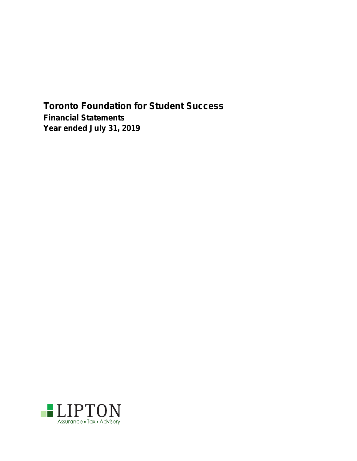**Toronto Foundation for Student Success Financial Statements Year ended July 31, 2019**

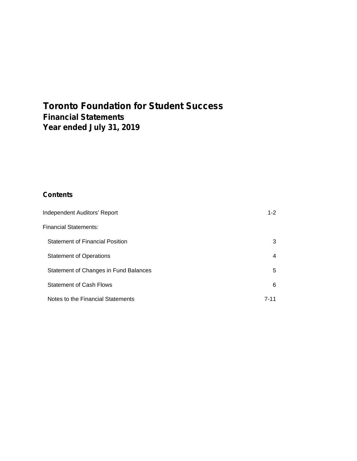# **Toronto Foundation for Student Success Financial Statements Year ended July 31, 2019**

# **Contents**

| Independent Auditors' Report           | $1 - 2$  |
|----------------------------------------|----------|
| <b>Financial Statements:</b>           |          |
| <b>Statement of Financial Position</b> | 3        |
| <b>Statement of Operations</b>         | 4        |
| Statement of Changes in Fund Balances  | 5        |
| <b>Statement of Cash Flows</b>         | 6        |
| Notes to the Financial Statements      | $7 - 11$ |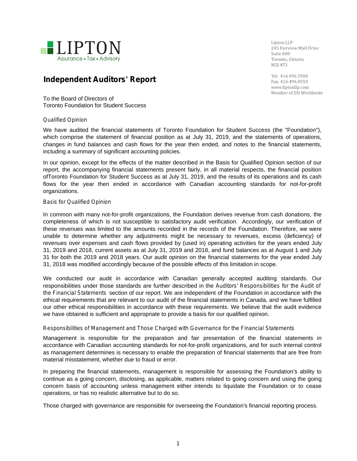

# **Independent Auditors' Report**

To the Board of Directors of Toronto Foundation for Student Success

# *Qualified Opinion*

Lipton LLP 245 Fairview Mall Drive Suite 600 Toronto, Ontario M2J 4T1

Tel: 416,496,2900 Fax: 416.496.0559 www.liptonllp.com Member of JHI Worldwide

We have audited the financial statements of Toronto Foundation for Student Success (the "Foundation"), which comprise the statement of financial position as at July 31, 2019, and the statements of operations, Toronto Foundation for Student Success<br>
Qualified Opinion<br>
We have audited the financial statements of Toronto Foundation for Student Success (the "Foundation"),<br>
which comprise the statement of financial position as at Ju Qualified Opinion<br>We have audited the financial statements of Toronto Foundation for Student Success (the "Foundation"),<br>which comprise the statement of financial position as at July 31, 2019, and the statements of operati including a summary of significant accounting policies. We have audited the financial statements of Toronto Foundation for Student Success (the "Foundation"),<br>which comprise the statement of financial position as at July 31, 2019, and the statements of operations,<br>changes in fu

which comprise the statement of financial position as at July 31, 2019, and the statements of operations,<br>changes in fund balances and cash flows for the year then ended, and notes to the financial statements,<br>including a changes in fund balances and cash flows for the year then ended, and notes to the financial statements,<br>including a summary of significant accounting policies.<br>In our opinion, except for the effects of the matter described including a summary of significant accounting policies.<br>In our opinion, except for the effects of the matter described in the Basis for Qualified Opinion section of our<br>report, the accompanying financial statements present organizations.

# *Basis for Qualified Opinion*

In the vear then ended in accordance with Canadian accounting standards for not-for-profit<br>
in common with many not-for-profit organizations, the Foundation derives revenue from cash donations, the<br>
completeness of which i organizations.<br>
Basis for Qualified Opinion<br>
In common with many not-for-profit organizations, the Foundation derives revenue from cash donations, the<br>
completeness of which is not susceptible to satisfactory audit verific Basis for Qualified Opinion<br>In common with many not-for-profit organizations, the Foundation derives revenue from cash donations, the<br>completeness of which is not susceptible to satisfactory audit verification. Accordingly Basis for Qualified Optrilori<br>In common with many not-for-profit organizations, the Foundation derives revenue from cash donations, the<br>completeness of which is not susceptible to satisfactory audit verification. According In common with many not-for-profit organizations, the Foundation derives revenue from cash donations, the completeness of which is not susceptible to satisfactory audit verification. Accordingly, our verification of these 31, 2019 and 2018, current assets as at July 31, 2019 and 2018, and fund balances as at August 1 and July 31 for both the 2019 and 2018 years. Our audit opinion on the financial statements for the year ended July 31, 2019 31, 2019 and 2019 and 2018 years. Our audit opinion on the financial statements for the year ended July 31, 2019 and 2018, and fund balances as at August 1 and July 31, 2019 and 2018, current assets as at July 31, 2019 and 31, 2018 was modified accordingly because of the possible effects of this limitation in scope. Evention over expenses and east nows provided by (ascel in) opertuing activities for the years childed oury 31, 2019 and 2018, current assets as at July 31, 2019 and 2018, and fund balances as at August 1 and July 31 for b

responsibilities under those standards are further described in the *Auditors'* Responsibilities for the vear ended July 31, 2018 was modified accordingly because of the possible effects of this limitation in scope.<br>We con *the Financial Statements* section of our report. We are independent of this limitation in scope.<br>
We conducted our audit in accordance with Canadian generally accepted auditing standards. Our<br>
responsibilities under those ethical requirements that are relevant to our audit of the financial statements. We presponsibilities for the Audit of the Financial Statements section of our report. We are independent of the Foundation in accordance with We conducted our audit in accordance with Canadian generally accepted auditing standards. Our responsibilities under those standards are further described in the *Auditors' Responsibilities for the Audit of the Financial S* we have obtained is sufficient and appropriate to provide a basis for our qualified opinion.

# *Responsibilities of Management and Those Charged with Governance for the Financial Statements*

our other ethical responsibilities in accordance with these requirements. We believe that the audit evidence<br>we have obtained is sufficient and appropriate to provide a basis for our qualified opinion.<br>Responsibilities of we have obtained is sufficient and appropriate to provide a basis for our qualified opinion.<br>Responsibilities of Management and Those Charged with Governance for the Financial Statements<br>Management is responsible for the p Responsibilities of Management and Those Charged with Governance for the Financial Statements<br>Management is responsible for the preparation and fair presentation of the financial statements in<br>accordance with Canadian acco material misstatement, whether due to fraud or error. Management is responsible for the preparation and fair presentation of the financial statements in accordance with Canadian accounting standards for not-for-profit organizations, and for such internal control as management

as management determines is necessary to enable the preparation of financial statements that are free from<br>material misstatement, whether due to fraud or error.<br>In preparing the financial statements, management is responsi continue as a going concern, disclosing, as applicable, matters related to going concern and using the going operations, or has no realistic alternative but to do so.

Those charged with governance are responsible for overseeing the Foundation's financial reporting process.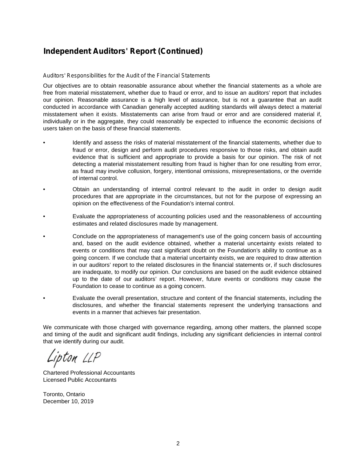# **Independent Auditors' Report (Continued)**

# *Auditors' Responsibilities for the Audit of the Financial Statements*

Our objectives are to obtain reasonable assurance about whether the financial statements as a whole are free from material misstatement, whether due to fraud or error, and to issue an auditors' report that includes our opinion. Reasonable assurance is a high level of assurance, but is not a guarantee that an audit conducted in accordance with Canadian generally accepted auditing standards will always detect a material misstatement when it exists. Misstatements can arise from fraud or error and are considered material if, individually or in the aggregate, they could reasonably be expected to influence the economic decisions of users taken on the basis of these financial statements.

- Identify and assess the risks of material misstatement of the financial statements, whether due to fraud or error, design and perform audit procedures responsive to those risks, and obtain audit evidence that is sufficient and appropriate to provide a basis for our opinion. The risk of not detecting a material misstatement resulting from fraud is higher than for one resulting from error, as fraud may involve collusion, forgery, intentional omissions, misrepresentations, or the override of internal control.
- Obtain an understanding of internal control relevant to the audit in order to design audit procedures that are appropriate in the circumstances, but not for the purpose of expressing an opinion on the effectiveness of the Foundation's internal control.
- Evaluate the appropriateness of accounting policies used and the reasonableness of accounting estimates and related disclosures made by management.
- Conclude on the appropriateness of management's use of the going concern basis of accounting and, based on the audit evidence obtained, whether a material uncertainty exists related to events or conditions that may cast significant doubt on the Foundation's ability to continue as a going concern. If we conclude that a material uncertainty exists, we are required to draw attention in our auditors' report to the related disclosures in the financial statements or, if such disclosures are inadequate, to modify our opinion. Our conclusions are based on the audit evidence obtained up to the date of our auditors' report. However, future events or conditions may cause the Foundation to cease to continue as a going concern.
- Evaluate the overall presentation, structure and content of the financial statements, including the disclosures, and whether the financial statements represent the underlying transactions and events in a manner that achieves fair presentation.

We communicate with those charged with governance regarding, among other matters, the planned scope and timing of the audit and significant audit findings, including any significant deficiencies in internal control that we identify during our audit.

Lipton LLP

Chartered Professional Accountants Licensed Public Accountants

Toronto, Ontario December 10, 2019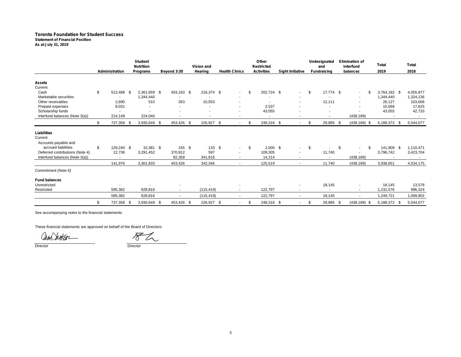## **Toronto Foundation for Student Success Statement of Financial Position As at July 31, 2019**

|                                                |                  |      | <b>Student</b><br><b>Nutrition</b> |      |             | Vision and               |     |                          |      | Other<br><b>Restricted</b> |                          | Undesignated<br>and      |      | <b>Elimination of</b><br>interfund | <b>Total</b>             | <b>Total</b> |
|------------------------------------------------|------------------|------|------------------------------------|------|-------------|--------------------------|-----|--------------------------|------|----------------------------|--------------------------|--------------------------|------|------------------------------------|--------------------------|--------------|
|                                                | Administration   |      | Programs                           |      | Beyond 3:30 | Hearing                  |     | <b>Health Clinics</b>    |      | <b>Activities</b>          | <b>Sight Initiative</b>  | <b>Fundraising</b>       |      | balances                           | 2019                     | 2018         |
| <b>Assets</b>                                  |                  |      |                                    |      |             |                          |     |                          |      |                            |                          |                          |      |                                    |                          |              |
| Current                                        |                  |      |                                    |      |             |                          |     |                          |      |                            |                          |                          |      |                                    |                          |              |
| Cash                                           | \$<br>512,488 \$ |      | 2,361,659 \$                       |      | 453,163 \$  | 216,374 \$               |     | $\sim$                   | \$   | 202,724 \$                 | $\sim$                   | \$<br>17,774 \$          |      | $\sim$                             | 3,764,182 \$             | 4,055,977    |
| Marketable securities                          |                  |      | 1,344,440                          |      |             | ٠                        |     | $\overline{\phantom{a}}$ |      | $\overline{\phantom{a}}$   | $\overline{\phantom{a}}$ | $\overline{\phantom{a}}$ |      | $\overline{\phantom{a}}$           | 1,344,440                | 1,324,136    |
| Other receivables                              | 2,690            |      | 510                                |      | 263         | 10,553                   |     | $\overline{\phantom{a}}$ |      | $\overline{\phantom{a}}$   | $\overline{\phantom{a}}$ | 12,111                   |      | $\overline{\phantom{a}}$           | 26,127                   | 103,606      |
| Prepaid expenses                               | 8,031            |      |                                    |      | ۰.          | ٠                        |     |                          |      | 2,537                      |                          | $\overline{\phantom{a}}$ |      |                                    | 10,568                   | 17,625       |
| Scholarship funds                              |                  |      | $\overline{\phantom{a}}$           |      |             | $\overline{\phantom{a}}$ |     | ٠                        |      | 43,055                     |                          | $\overline{\phantom{a}}$ |      | $\overline{\phantom{a}}$           | 43,055                   | 42,733       |
| Interfund balances (Note 3(a))                 | 214,149          |      | 224,040                            |      | ۰.          | $\overline{\phantom{a}}$ |     | ٠                        |      | $\blacksquare$             | $\overline{\phantom{a}}$ | $\overline{\phantom{a}}$ |      | (438, 189)                         | $\overline{\phantom{a}}$ | $\sim$       |
|                                                | \$<br>737,358 \$ |      | 3,930,649                          | - \$ | 453,426 \$  | 226,927                  | \$  | $\sim$                   | \$   | 248,316 \$                 | $\sim$                   | \$<br>29,885 \$          |      | $(438, 189)$ \$                    | 5,188,372 \$             | 5,544,077    |
| Liabilities<br>Current<br>Accounts payable and |                  |      |                                    |      |             |                          |     |                          |      |                            |                          |                          |      |                                    |                          |              |
| accrued liabilities                            | \$<br>129,240 \$ |      | 10,381 \$                          |      | 155 \$      | $133$ \$                 |     | $\sim$                   | \$   | $2,000$ \$                 | $\sim$                   | \$                       | \$   | \$<br>$\sim$                       | 141,909 \$               | 1,110,471    |
| Deferred contributions (Note 4)                | 12,736           |      | 3,291,452                          |      | 370,912     | 597                      |     | $\overline{\phantom{a}}$ |      | 109,305                    | $\sim$                   | 11,740                   |      | $\overline{\phantom{a}}$           | 3,796,742                | 3,423,704    |
| Interfund balances (Note 3(a))                 |                  |      |                                    |      | 82,359      | 341,616                  |     | $\overline{\phantom{a}}$ |      | 14,214                     | $\blacksquare$           | $\blacksquare$           |      | (438, 189)                         | $\overline{\phantom{a}}$ | $\sim$       |
|                                                | 141,976          |      | 3,301,833                          |      | 453,426     | 342,346                  |     | $\overline{\phantom{a}}$ |      | 125,519                    | $\sim$                   | 11,740                   |      | (438, 189)                         | 3,938,651                | 4,534,175    |
| Commitment (Note 6)                            |                  |      |                                    |      |             |                          |     |                          |      |                            |                          |                          |      |                                    |                          |              |
| <b>Fund balances</b>                           |                  |      |                                    |      |             |                          |     |                          |      |                            |                          |                          |      |                                    |                          |              |
| Unrestricted                                   |                  |      |                                    |      |             |                          |     | $\overline{\phantom{a}}$ |      |                            |                          | 18,145                   |      | $\overline{\phantom{a}}$           | 18,145                   | 13,578       |
| Restricted                                     | 595,382          |      | 628,816                            |      | $\sim$      | (115, 419)               |     | $\overline{\phantom{a}}$ |      | 122,797                    | $\overline{\phantom{a}}$ | $\sim$                   |      | $\overline{\phantom{a}}$           | 1,231,576                | 996,324      |
|                                                | 595,382          |      | 628,816                            |      | $\sim$      | (115, 419)               |     | $\sim$                   |      | 122,797                    | $\overline{\phantom{a}}$ | 18,145                   |      | $\overline{\phantom{a}}$           | 1,249,721                | 1,009,902    |
|                                                | \$<br>737,358    | - \$ | 3,930,649                          | - \$ | 453,426 \$  | 226,927                  | -\$ | $\sim$                   | - \$ | 248,316 \$                 | $\sim$                   | \$<br>29,885             | - \$ | $(438, 189)$ \$                    | 5,188,372 \$             | 5,544,077    |

See accompanying notes to the financial statements

These financial statements are approved on behalf of the Board of Directors:

Cambiden To R CamChetson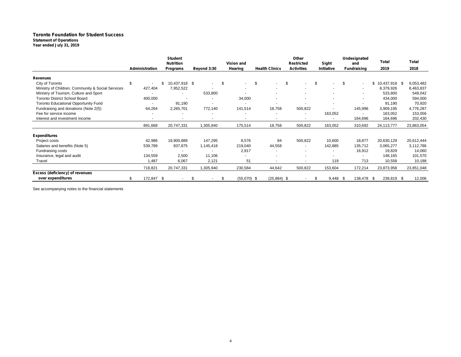# **Toronto Foundation for Student Success Statement of Operations Year ended July 31, 2019**

|                                                   |                          | <b>Student</b><br><b>Nutrition</b> |                          | Vision and          |                          | Other<br><b>Restricted</b> | Sight        | Undesignated<br>and | <b>Total</b>        | Total      |
|---------------------------------------------------|--------------------------|------------------------------------|--------------------------|---------------------|--------------------------|----------------------------|--------------|---------------------|---------------------|------------|
|                                                   | Administration           | Programs                           | Beyond 3:30              | Hearing             | <b>Health Clinics</b>    | <b>Activities</b>          | Initiative   | <b>Fundraising</b>  | 2019                | 2018       |
| <b>Revenues</b>                                   |                          |                                    |                          |                     |                          |                            |              |                     |                     |            |
| City of Toronto                                   | \$<br>٠                  | 10,437,918 \$<br>\$                | $\sim$                   | - \$<br>۰.          | -\$<br>$\sim$            | \$<br>$\sim$               | \$<br>$\sim$ | -S<br>$\sim$        | 10,437,918 \$<br>\$ | 9,053,482  |
| Ministry of Children, Community & Social Services | 427,404                  | 7,952,522                          |                          | ٠                   |                          |                            |              | $\sim$              | 8,379,926           | 8,463,837  |
| Ministry of Tourism, Culture and Sport            | $\sim$                   | ۰                                  | 533,800                  | ۰                   | $\overline{\phantom{a}}$ | ۰.                         |              | $\sim$              | 533,800             | 549,042    |
| <b>Toronto District School Board</b>              | 400,000                  |                                    | $\overline{\phantom{a}}$ | 34,000              |                          |                            |              | ٠                   | 434,000             | 594,000    |
| <b>Toronto Educational Opportunity Fund</b>       | $\overline{\phantom{a}}$ | 91,190                             | $\overline{\phantom{a}}$ | ٠                   |                          |                            |              |                     | 91,190              | 70,920     |
| Fundraising and donations (Note 2(f))             | 64,264                   | 2,265,701                          | 772,140                  | 141,514             | 18,758                   | 500,822                    | ۰            | 145,996             | 3,909,195           | 4,776,287  |
| Fee for service income                            |                          |                                    | $\overline{\phantom{a}}$ |                     |                          |                            | 163,052      |                     | 163,052             | 153,056    |
| Interest and investment income                    |                          | $\overline{\phantom{a}}$           |                          |                     |                          |                            |              | 164,696             | 164,696             | 202,430    |
|                                                   | 891,668                  | 20,747,331                         | 1,305,940                | 175,514             | 18,758                   | 500,822                    | 163,052      | 310,692             | 24,113,777          | 23,863,054 |
| <b>Expenditures</b>                               |                          |                                    |                          |                     |                          |                            |              |                     |                     |            |
| Project costs                                     | 42,986                   | 19,900,889                         | 147,295                  | 8,576               | 84                       | 500,822                    | 10,600       | 18,877              | 20,630,129          | 20,612,444 |
| Salaries and benefits (Note 5)                    | 539,789                  | 837,875                            | 1,145,418                | 219,040             | 44,558                   |                            | 142,885      | 135,712             | 3,065,277           | 3,112,786  |
| Fundraising costs                                 |                          | $\overline{\phantom{a}}$           |                          | 2,917               | $\overline{\phantom{a}}$ | ۰.                         | ٠            | 16,912              | 19,829              | 14,060     |
| Insurance, legal and audit                        | 134,559                  | 2,500                              | 11,106                   |                     |                          |                            |              | $\sim$              | 148,165             | 101,570    |
| Travel                                            | 1,487                    | 6,067                              | 2,121                    | 51                  | <b>.</b>                 | $\sim$                     | 119          | 713                 | 10,558              | 10,188     |
|                                                   | 718,821                  | 20,747,331                         | 1,305,940                | 230,584             | 44,642                   | 500,822                    | 153,604      | 172,214             | 23,873,958          | 23,851,048 |
| Excess (deficiency) of revenues                   |                          |                                    |                          |                     |                          |                            |              |                     |                     |            |
| over expenditures                                 |                          | 172,847 \$<br>$\sim$               | -S<br>$\sim$             | $(55,070)$ \$<br>-S | $(25,884)$ \$            | $\overline{\phantom{a}}$   | $9,448$ \$   | 138,478             | 239,819 \$<br>- 35  | 12,006     |

See accompanying notes to the financial statements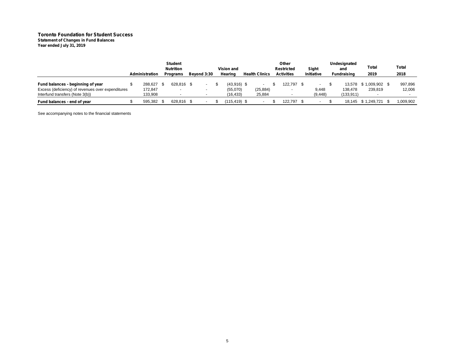# **Toronto Foundation for Student Success Statement of Changes in Fund Balances**

**Year ended July 31, 2019**

| Year ended July 31, 2019                          |  |                |                                    |  |                          |            |                 |  |                       |  |                            |  |            |     |                     |                       |  |         |
|---------------------------------------------------|--|----------------|------------------------------------|--|--------------------------|------------|-----------------|--|-----------------------|--|----------------------------|--|------------|-----|---------------------|-----------------------|--|---------|
|                                                   |  |                | <b>Student</b><br><b>Nutrition</b> |  |                          | Vision and |                 |  |                       |  | Other<br><b>Restricted</b> |  | Sight      |     | Undesignated<br>and | Total                 |  | Total   |
|                                                   |  | Administration | Programs                           |  | Beyond 3:30              |            | Hearing         |  | <b>Health Clinics</b> |  | <b>Activities</b>          |  | Initiative |     | Fundraising         | 2019                  |  | 2018    |
| Fund balances - beginning of year                 |  | 288.627 \$     | 628,816 \$                         |  | $\sim$                   |            | $(43,916)$ \$   |  | $\sim$                |  | 122,797 \$                 |  | . .        | -SS | 13.578              | $$1,009,902$ \$       |  | 997,896 |
| Excess (deficiency) of revenues over expenditures |  | 172,847        | $\overline{\phantom{0}}$           |  | $\overline{\phantom{a}}$ |            | (55,070)        |  | (25, 884)             |  | $\overline{\phantom{0}}$   |  | 9.448      |     | 138.478             | 239.819               |  | 12,006  |
| Interfund transfers (Note 3(b))                   |  | 133,908        |                                    |  |                          |            | (16, 433)       |  | 25,884                |  |                            |  | (9, 448)   |     | (133, 911)          |                       |  |         |
| Fund balances - end of year                       |  | 595,382 \$     | 628,816 \$                         |  | $\sim$                   |            | $(115, 419)$ \$ |  | $\sim$                |  | 122.797                    |  | $\sim$     |     |                     | 18,145 \$1,249,721 \$ |  | 009,902 |

See accompanying notes to the financial statements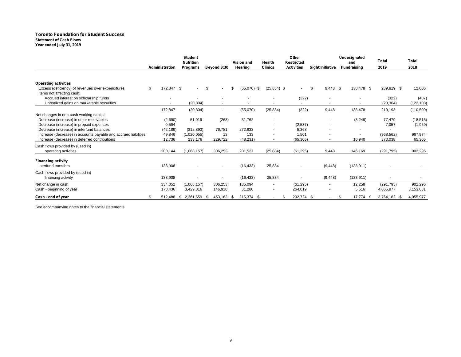# **Toronto Foundation for Student Success Statement of Cash Flows**

**Year ended July 31, 2019**

|                                                                                |                       | <b>Student</b><br><b>Nutrition</b> |                          | Vision and |               | Health                   | Other<br><b>Restricted</b> |                          |      | Undesignated<br>and | <b>Total</b>   | <b>Total</b> |
|--------------------------------------------------------------------------------|-----------------------|------------------------------------|--------------------------|------------|---------------|--------------------------|----------------------------|--------------------------|------|---------------------|----------------|--------------|
|                                                                                | <b>Administration</b> | Programs                           | Beyond 3:30              |            | Hearing       | <b>Clinics</b>           | <b>Activities</b>          | <b>Sight Initiative</b>  |      | <b>Fundraising</b>  | 2019           | 2018         |
|                                                                                |                       |                                    |                          |            |               |                          |                            |                          |      |                     |                |              |
| <b>Operating activities</b>                                                    |                       |                                    |                          |            |               |                          |                            |                          |      |                     |                |              |
| Excess (deficiency) of revenues over expenditures<br>Items not affecting cash: | \$<br>172.847 \$      | $\overline{\phantom{0}}$           | \$                       | \$         | $(55,070)$ \$ | $(25,884)$ \$            | $\sim$                     | \$<br>9,448              | - \$ | 138,478 \$          | 239,819 \$     | 12,006       |
| Accrued interest on scholarship funds                                          |                       |                                    |                          |            |               |                          | (322)                      | $\overline{\phantom{a}}$ |      |                     | (322)          | (407)        |
| Unrealized gains on marketable securities                                      |                       | (20, 304)                          |                          |            |               |                          | $\overline{\phantom{a}}$   | $\overline{\phantom{a}}$ |      |                     | (20, 304)      | (122, 108)   |
|                                                                                | 172,847               | (20, 304)                          | $\sim$                   |            | (55,070)      | (25, 884)                | (322)                      | 9,448                    |      | 138,478             | 219,193        | (110, 509)   |
| Net changes in non-cash working capital:                                       |                       |                                    |                          |            |               |                          |                            |                          |      |                     |                |              |
| Decrease (increase) in other receivables                                       | (2,690)               | 51,919                             | (263)                    |            | 31,762        | $\sim$                   | ٠                          | $\sim$                   |      | (3,249)             | 77,479         | (18, 515)    |
| Decrease (increase) in prepaid expenses                                        | 9,594                 | $\blacksquare$                     | $\overline{\phantom{a}}$ |            | $\sim$        | $\sim$                   | (2,537)                    | $\sim$                   |      |                     | 7,057          | (1,959)      |
| Decrease (increase) in interfund balances                                      | (42, 189)             | (312, 893)                         | 76,781                   |            | 272,933       | $\sim$                   | 5,368                      | $\overline{\phantom{a}}$ |      | ٠                   | $\blacksquare$ |              |
| Increase (decrease) in accounts payable and accrued liabilities                | 49,846                | (1,020,055)                        | 13                       |            | 133           | $\sim$                   | 1,501                      |                          |      | ٠                   | (968, 562)     | 967,974      |
| Increase (decrease) in deferred contributions                                  | 12,736                | 233,176                            | 229,722                  |            | (48, 231)     | $\sim$                   | (65, 305)                  | $\sim$                   |      | 10,940              | 373,038        | 65,305       |
| Cash flows provided by (used in)                                               |                       |                                    |                          |            |               |                          |                            |                          |      |                     |                |              |
| operating activities                                                           | 200,144               | (1,068,157)                        | 306,253                  |            | 201,527       | (25, 884)                | (61, 295)                  | 9,448                    |      | 146,169             | (291, 795)     | 902,296      |
|                                                                                |                       |                                    |                          |            |               |                          |                            |                          |      |                     |                |              |
| <b>Financing activity</b>                                                      |                       |                                    |                          |            |               |                          |                            |                          |      |                     |                |              |
| Interfund transfers                                                            | 133,908               |                                    |                          |            | (16, 433)     | 25,884                   |                            | (9, 448)                 |      | (133, 911)          |                |              |
| Cash flows provided by (used in)                                               |                       |                                    |                          |            |               |                          |                            |                          |      |                     |                |              |
| financing activity                                                             | 133,908               |                                    |                          |            | (16, 433)     | 25,884                   | ٠                          | (9, 448)                 |      | (133, 911)          |                |              |
| Net change in cash                                                             | 334,052               | (1,068,157)                        | 306,253                  |            | 185,094       | $\overline{\phantom{a}}$ | (61, 295)                  |                          |      | 12,258              | (291, 795)     | 902,296      |
| Cash - beginning of year                                                       | 178,436               | 3,429,816                          | 146,910                  |            | 31,280        | $\sim$                   | 264,019                    | $\sim$                   |      | 5,516               | 4,055,977      | 3,153,681    |
| Cash - end of year                                                             | \$<br>512.488         | 2.361.659 \$<br>-S                 | 453.163                  | \$         | 216,374 \$    | $\sim$                   | 202,724 \$                 | $\sim$                   | -9   | 17,774 \$           | 3,764,182 \$   | 4,055,977    |

See accompanying notes to the financial statements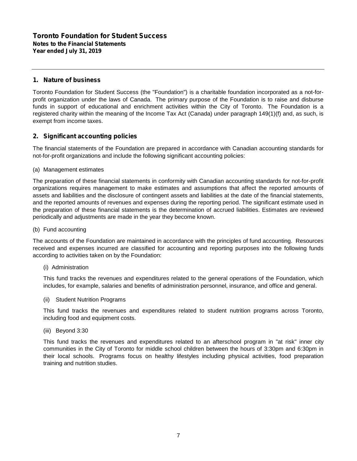# **1. Nature of business**

funds in support of educational and enrichment activities within the City of Toronto. The Foundation is a registered charity within the meaning of the Income Tax Act (Canada) under paragraph 149(1)(f) and, as such, is exem Toronto Foundation for Student Success (the "Foundation") is a charitable foundation incorporated as a not-for-**1. Nature of business**<br>Toronto Foundation for Student Success (the "Foundation") is a charitable foundation incorporated as a not-for-<br>profit organization under the laws of Canada. The primary purpose of the Foundation is **1. Nature of business**<br>Toronto Foundation for Student Success (the "Foundation") is a charitable foundation incorporated as a not-for-<br>profit organization under the laws of Canada. The primary purpose of the Foundation is **Toronto Foundation for Student Success (the "Foundation") is a charitable foundation incorporated as a not-for-**<br>profit organization under the laws of Canada. The primary purpose of the Foundation is to raise and disburse exempt from income taxes.

2. Significant accounting poli<br>The financial statements of the Fou<br>not-for-profit organizations and inclu<br>(a) Management estimates<br>The preparation of these financial s The financial statements of the Foundation are prepared in accordance with Canadian accounting standards for<br>The financial statements of the Foundation are prepared in accordance with Canadian accounting standards for<br>notnot-for-profit organizations and include the following significant accounting policies:

assets and liabilities and the disclosure of contingent assets and liabilities at the date of the financial statements, and the reported amounts of revenues and expenses during the reporting period. The significant estimat The financial statements of the Foundation are prepared in accordance with Canadian accounting standards for<br>not-for-profit organizations and include the following significant accounting policies:<br>(a) Management estimates<br> not-for-profit organizations and include the following significant accounting policies:<br>
(a) Management estimates<br>
The preparation of these financial statements in conformity with Canadian accounting standards for not-for-(a) Management estimates<br>The preparation of these financial statements in conformity with Canadian accounting standards for not-for-profit<br>organizations requires management to make estimates and assumptions that affect the (a) Management estimates<br>The preparation of these financial statements in conformity with Canadian accounting standards for not-for-profit<br>organizations requires management to make estimates and assumptions that affect the The preparation of these financial statements in conformity with Canadian accounting standards for not-for-profit organizations requires management to make estimates and assumptions that affect the reported amounts of asse periodically and adjustments are made in the year they become known.

the preparation of these financial statements is the determination of accrued liabilities. Estimates are reviewed<br>periodically and adjustments are made in the year they become known.<br>(b) Fund accounting<br>The accounts of the periodically and adjustments are made in the year they become known.<br>(b) Fund accounting<br>The accounts of the Foundation are maintained in accordance with the principles of fund accounting. Resources<br>received and expenses i according to activities taken on by the Foundation: ived and expenses incurred are classified for accounting and reporting purposes into the following funds<br>ording to activities taken on by the Foundation:<br>(i) Administration<br>This fund tracks the revenues and expenditures re

(i) Administration

This fund tracks the revenues and expenditures related to the general operations of the Foundation, which includes, for example, salaries and benefits of administration personnel, insurance, and office and general.<br>(ii) St includes, for example, salaries and benefits of administration personnel, insurance, and office and general.

This fund tracks the revenues and expenditures related to the general operations of the Foundation, which<br>includes, for example, salaries and benefits of administration personnel, insurance, and office and general.<br>(ii) St including food and equipment costs.

(iii) Beyond 3:30

This fund tracks the revenues and expenditures related to student nutrition programs across Toronto,<br>including food and equipment costs.<br>(iii) Beyond 3:30<br>This fund tracks the revenues and expenditures related to an afters including food and equipment costs.<br>(iii) Beyond 3:30<br>This fund tracks the revenues and expenditures related to an afterschool program in "at risk" inner city<br>communities in the City of Toronto for middle school children b (iii) Beyond 3:30<br>This fund tracks the revenues and expenditures related to an afterschool program in "at risk" inner city<br>communities in the City of Toronto for middle school children between the hours of 3:30pm and 6:30p training and nutrition studies.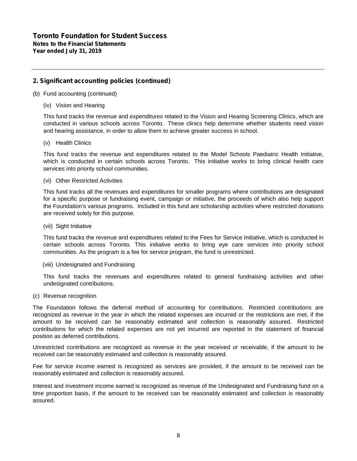# **2. Significant accounting policie:**<br>(b) Fund accounting (continued)<br>(iv) Vision and Hearing **ignificant accounting policie**<br>Fund accounting (continued)<br>(iv) Vision and Hearing<br>This fund tracks the revenue and

This fund tracks the revenu<br>conducted in various scho<br>and hearing assistance, in<br>(v) Health Clinics<br>This fund tracks the rever This fund accounting policies (commated)<br>
(iv) Vision and Hearing<br>
This fund tracks the revenue and expenditures related to the Vision and Hearing Screening Clinics, which are<br>
conducted in various schools across Toronto. Fund accounting (continued)<br>(iv) Vision and Hearing<br>This fund tracks the revenue and expenditures related to the Vision and Hearing Screening Clinics, which are<br>conducted in various schools across Toronto. These clinics he and hearing assistance, in order to allow them to achieve greater success in school.

(vi) This fund tracks the revenue and expression in the vertain schools<br>services into priority school communities<br>(vi) Other Restricted Activities<br>This fund tracks all the revenues and expression conducted in various schools across Toronto. These clinics help determine whether students need vision<br>and hearing assistance, in order to allow them to achieve greater success in school.<br>(v) Health Clinics<br>This fund track and hearing assistance, in order to allow them to achieve greater success in school.<br>
(v) Health Clinics<br>
This fund tracks the revenue and expenditures related to the Model Schools Paediatric Health Initiative,<br>
which is c services into priority school communities.

This fund tracks all the rever<br>for a specific purpose or furthe Foundation's various pro<br>are received solely for this p<br>(vii) Sight Initiative<br>This fund tracks the revenue the Foundation's various programs. Included in this fund are scholarship activities where restricted donations are received solely for this purpose.<br>(vii) Sight Initiative which is conducted in certain schools across Toronto. This initiative works to bring clinical health care<br>services into priority school communities.<br>(vi) Other Restricted Activities<br>This fund tracks all the revenues and ex services into priority school communities.<br>(vi) Other Restricted Activities<br>This fund tracks all the revenues and expenditures for smaller programs where contributions are designated<br>for a specific purpose or fundraising e (vi) Other Restricted Activities<br>This fund tracks all the revenues and expenditures for smaller programs where contributions are designated<br>for a specific purpose or fundraising event, campaign or initiative, the proceeds are received solely for this purpose.

certain schools across Toronto. This initiative works to bring eye care services into priority school communities. As the program is a fee for service program, the fund is unrestricted.<br>(viii) Undesignated and Fundraising<br> This fund tracks the revenue and expenditures related to the Fees for Service Initiative, which is conducted in communities. As the program is a fee for service program, the fund is unrestricted.

# (viii) Undesignated and Fundraising

(viii) Undesignated and Fundri<br>This fund tracks the reven<br>undesignated contributions.<br>(c) Revenue recognition<br>The Foundation follows the def undesignated contributions.

This fund tracks the revenues and expenditures related to general fundraising activities and other<br>undesignated contributions.<br>(c) Revenue recognition<br>The Foundation follows the deferral method of accounting for contributi undesignated contributions.<br>
(c) Revenue recognition<br>
The Foundation follows the deferral method of accounting for contributions. Restricted contributions are<br>
recognized as revenue in the year in which the related expense (c) Revenue recognition<br>The Foundation follows the deferral method of accounting for contributions. Restricted contributions are<br>recognized as revenue in the year in which the related expenses are incurred or the restricti (c) Revenue recognition<br>The Foundation follows the deferral method of accounting for contributions. Restricted contributions are<br>recognized as revenue in the year in which the related expenses are incurred or the restricti position as deferred contributions. recognized as revenue in the year in which the related expenses are incurred or the restrictions are met, if the amount to be received can be reasonably estimated and collection is reasonably assured. Restricted contributi

received can be reasonably estimated and collection is reasonably assured. Free for service income earned is recognized as revenue in the year received or receivable, if the amount to be received can be reasonably estimated and collection is reasonably assured.<br>The for service income earned is re

reasonably estimated and collection is reasonably assured.

received can be reasonably estimated and collection is reasonably assured.<br>Fee for service income earned is recognized as services are provided, if the amount to be received can be<br>reasonably estimated and collection is re Fee for service income earned is recognized as services are provided, if the amount to be received can be reasonably estimated and collection is reasonably assured.<br>Interest and investment income earned is recognized as re assured.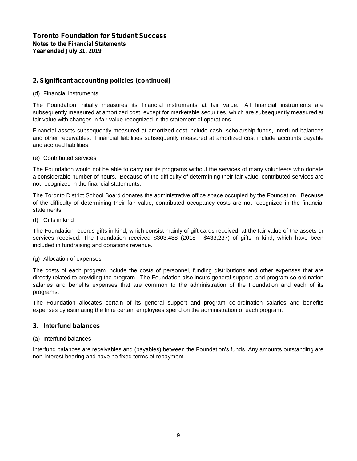# **2. Significant accounting polestive Set Significant accounting polestion**<br>(d) Financial instruments<br>The Foundation initially measu

**2. Significant accounting policies (continued)**<br>(d) Financial instruments<br>The Foundation initially measures its financial instruments at fair value. All financial instruments are<br>subsequently measured at amortized cost, e 2. Significant accounting policies (continued)<br>(d) Financial instruments<br>The Foundation initially measures its financial instruments at fair value. All financial instruments are<br>subsequently measured at amortized cost, exc fair value with changes in fair value recognized in the statement of operations. The Foundation initially measures its financial instruments at fair value. All financial instruments are subsequently measured at amortized cost, except for marketable securities, which are subsequently measured at fair va

Financial assets subsequently m<br>and other receivables. Financia<br>and accrued liabilities.<br>(e) Contributed services<br>The Foundation would not be ab The Foundation initially measures its financial instruments at fair value. All financial instruments are subsequently measured at amortized cost, except for marketable securities, which are subsequently measured at fair va and accrued liabilities.

and other receivables. Financial liabilities subsequently measured at amortized cost include accounts payable<br>and accrued liabilities.<br>(e) Contributed services<br>The Foundation would not be able to carry out its programs wit and accrued liabilities.<br>(e) Contributed services<br>The Foundation would not be able to carry out its programs without the services of many volunteers who donate<br>a considerable number of hours. Because of the difficulty of d not recognized in the financial statements. The Foundation would not be able to carry out its programs without the services of many volunteers who donate<br>a considerable number of hours. Because of the difficulty of determining their fair value, contributed services is a considerable number of hours. Because of the difficulty of determining their fair value, contributed services are not recognized in the financial statements.<br>The Toronto District School Board donates the administrativ

The Toronto District Schoof the difficulty of determ<br>statements.<br>(f) Gifts in kind<br>The Foundation records ( statements. The Foundation records gifts in kind, which consist mainly of gift cards received, at the fair value of the assets or<br>
(f) Gifts in kind<br>
The Foundation records gifts in kind, which consist mainly of gift cards received, a

The Foundation records gifts in kin<br>services received. The Foundatio<br>included in fundraising and donatio<br>(g) Allocation of expenses<br>The costs of each program includ of the difficulty of determining their fail value, contributed occupaticy costs are not recognized in the infancial<br>statements.<br>The Foundation records gifts in kind, which consist mainly of gift cards received, at the fair included in fundraising and donations revenue. services received. The Foundation received \$303,488 (2018 - \$433,237) of gifts in kind, which have been<br>included in fundraising and donations revenue.<br>(g) Allocation of expenses<br>The costs of each program include the costs

The costs of each program include the costs of personnel, funding distributions and other expenses that are directly related to providing the program. The Foundation also incurs general support and program co-ordination sa included in fundraising and donations revenue.<br>(g) Allocation of expenses<br>The costs of each program include the costs of personnel, funding distributions and other expenses that are<br>directly related to providing the progra (g) Allocation of expenses<br>The costs of each program include the costs of personnel, funding distributions and other expenses that are<br>directly related to providing the program. The Foundation also incurs general support a programs.

programs.<br>The Foundation allocates certain<br>expenses by estimating the time cer<br>**3. Interfund balances**<br>(a) Interfund balances expenses by estimating the time certain employees spend on the administration of each program.

# (a) Interfund balances

**3. Interfund balances**<br>
(a) Interfund balances<br>
Interfund balances are receivables and (payables) between the Foundation's funds. Any amounts outstanding are non-interest bearing and have no fixed terms of repayment.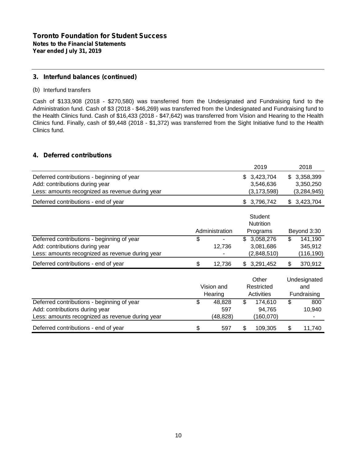# **3. Interfund balances (continued)**

# (b) Interfund transfers

**Clinics fund. Finally, cash of \$9,448 (20)**<br>Clinics fund.<br>**4. Deferred contributions Cash of \$133,908 (2018 - \$270,580) was transferred from the Undesignated and Fundraising fund to the Madministration fund. Cash of \$3 (2018 - \$46,269) was transferred from the Undesignated and Fundraising fund to the Admi** 3. Interfund balances (continued)<br>
(b) Interfund transfers<br>
Cash of \$133,908 (2018 - \$270,580) was transferred from the Undesignated and Fundraising fund to the<br>
Administration fund. Cash of \$3 (2018 - \$46,269) was transfe (b) Interfund transfers<br>Cash of \$133,908 (2018 - \$270,580) was transferred from the Undesignated and Fundraising fund to the<br>Administration fund. Cash of \$3 (2018 - \$46,269) was transferred from the Undesignated and Fundra (b) Interfund transfers<br>Cash of \$133,908 (2018 - \$270,580) was transferred from the Undesignated and Fundraising fund to the<br>Administration fund. Cash of \$3 (2018 - \$46,269) was transferred from the Undesignated and Fundra Clinics fund.

| <b>Deferred contributions</b><br>4.             |                |     |                  |             |              |  |
|-------------------------------------------------|----------------|-----|------------------|-------------|--------------|--|
|                                                 |                |     | 2019             |             | 2018         |  |
| Deferred contributions - beginning of year      |                | \$  | 3,423,704        | \$          | 3,358,399    |  |
| Add: contributions during year                  |                |     | 3,546,636        |             | 3,350,250    |  |
| Less: amounts recognized as revenue during year |                |     | (3, 173, 598)    |             | (3,284,945)  |  |
| Deferred contributions - end of year            |                |     | \$3,796,742      |             | \$3,423,704  |  |
|                                                 |                |     | <b>Student</b>   |             |              |  |
|                                                 |                |     | <b>Nutrition</b> |             |              |  |
|                                                 | Administration |     | Programs         | Beyond 3:30 |              |  |
| Deferred contributions - beginning of year      | \$             | \$. | 3,058,276        | \$          | 141,190      |  |
| Add: contributions during year                  | 12,736         |     | 3,081,686        |             | 345,912      |  |
| Less: amounts recognized as revenue during year |                |     | (2,848,510)      |             | (116,190)    |  |
| Deferred contributions - end of year            | \$<br>12,736   |     | \$3,291,452      | \$          | 370,912      |  |
|                                                 |                |     | Other            |             | Undesignated |  |
|                                                 | Vision and     |     | Restricted       |             | and          |  |
|                                                 | Hearing        |     | Activities       |             | Fundraising  |  |
| Deferred contributions - beginning of year      | \$<br>48,828   | \$  | 174,610          | \$          | 800          |  |
| Add: contributions during year                  | 597            |     | 94,765           |             | 10,940       |  |
| Less: amounts recognized as revenue during year | (48, 828)      |     | (160, 070)       |             |              |  |
| Deferred contributions - end of year            | \$<br>597      | \$  | 109,305          | \$          | 11,740       |  |